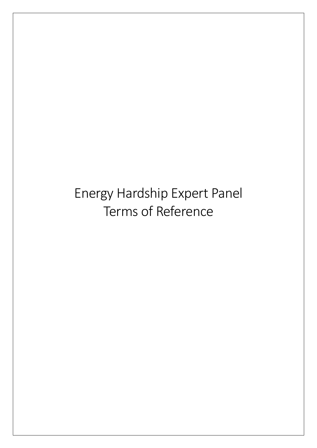Energy Hardship Expert Panel Terms of Reference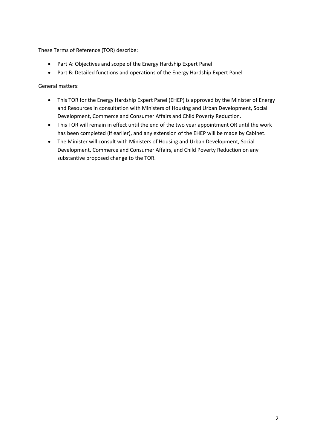These Terms of Reference (TOR) describe:

- Part A: Objectives and scope of the Energy Hardship Expert Panel
- Part B: Detailed functions and operations of the Energy Hardship Expert Panel

General matters:

- This TOR for the Energy Hardship Expert Panel (EHEP) is approved by the Minister of Energy and Resources in consultation with Ministers of Housing and Urban Development, Social Development, Commerce and Consumer Affairs and Child Poverty Reduction.
- This TOR will remain in effect until the end of the two year appointment OR until the work has been completed (if earlier), and any extension of the EHEP will be made by Cabinet.
- The Minister will consult with Ministers of Housing and Urban Development, Social Development, Commerce and Consumer Affairs, and Child Poverty Reduction on any substantive proposed change to the TOR.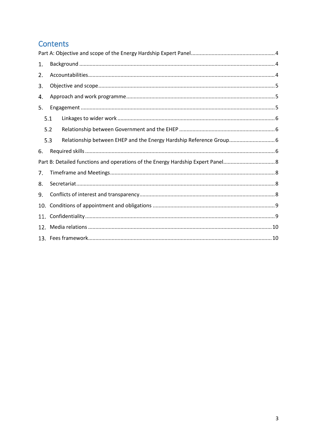# Contents

| 1.  |     |                                                                     |  |
|-----|-----|---------------------------------------------------------------------|--|
| 2.  |     |                                                                     |  |
| 3.  |     |                                                                     |  |
| 4.  |     |                                                                     |  |
| 5.  |     |                                                                     |  |
|     | 5.1 |                                                                     |  |
|     | 5.2 |                                                                     |  |
|     | 5.3 | Relationship between EHEP and the Energy Hardship Reference Group 6 |  |
| 6.  |     |                                                                     |  |
|     |     |                                                                     |  |
| 7.  |     |                                                                     |  |
| 8.  |     |                                                                     |  |
| 9.  |     |                                                                     |  |
| 10. |     |                                                                     |  |
|     |     |                                                                     |  |
|     |     |                                                                     |  |
|     |     |                                                                     |  |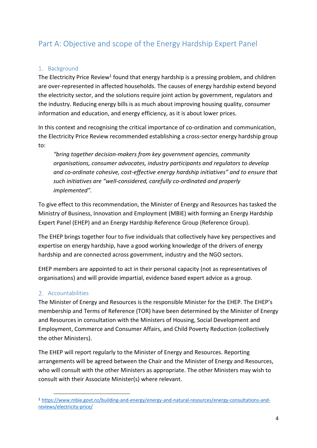# <span id="page-3-0"></span>Part A: Objective and scope of the Energy Hardship Expert Panel

# <span id="page-3-1"></span>1. Background

The Electricity Price Review<sup>1</sup> found that energy hardship is a pressing problem, and children are over-represented in affected households. The causes of energy hardship extend beyond the electricity sector, and the solutions require joint action by government, regulators and the industry. Reducing energy bills is as much about improving housing quality, consumer information and education, and energy efficiency, as it is about lower prices.

In this context and recognising the critical importance of co-ordination and communication, the Electricity Price Review recommended establishing a cross-sector energy hardship group to:

*"bring together decision-makers from key government agencies, community organisations, consumer advocates, industry participants and regulators to develop and co-ordinate cohesive, cost-effective energy hardship initiatives" and to ensure that such initiatives are "well-considered, carefully co-ordinated and properly implemented".*

To give effect to this recommendation, the Minister of Energy and Resources has tasked the Ministry of Business, Innovation and Employment (MBIE) with forming an Energy Hardship Expert Panel (EHEP) and an Energy Hardship Reference Group (Reference Group).

The EHEP brings together four to five individuals that collectively have key perspectives and expertise on energy hardship, have a good working knowledge of the drivers of energy hardship and are connected across government, industry and the NGO sectors.

EHEP members are appointed to act in their personal capacity (not as representatives of organisations) and will provide impartial, evidence based expert advice as a group.

# <span id="page-3-2"></span>2. Accountabilities

The Minister of Energy and Resources is the responsible Minister for the EHEP. The EHEP's membership and Terms of Reference (TOR) have been determined by the Minister of Energy and Resources in consultation with the Ministers of Housing, Social Development and Employment, Commerce and Consumer Affairs, and Child Poverty Reduction (collectively the other Ministers).

The EHEP will report regularly to the Minister of Energy and Resources. Reporting arrangements will be agreed between the Chair and the Minister of Energy and Resources, who will consult with the other Ministers as appropriate. The other Ministers may wish to consult with their Associate Minister(s) where relevant.

 $\overline{a}$ <sup>1</sup> [https://www.mbie.govt.nz/building-and-energy/energy-and-natural-resources/energy-consultations-and](https://www.mbie.govt.nz/building-and-energy/energy-and-natural-resources/energy-consultations-and-reviews/electricity-price/)[reviews/electricity-price/](https://www.mbie.govt.nz/building-and-energy/energy-and-natural-resources/energy-consultations-and-reviews/electricity-price/)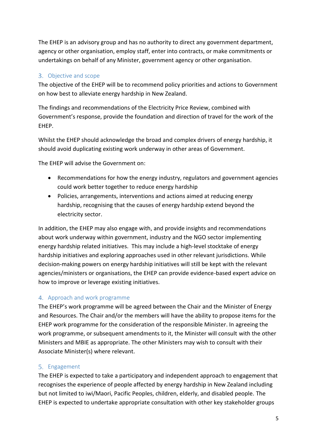The EHEP is an advisory group and has no authority to direct any government department, agency or other organisation, employ staff, enter into contracts, or make commitments or undertakings on behalf of any Minister, government agency or other organisation.

# <span id="page-4-0"></span>3. Objective and scope

The objective of the EHEP will be to recommend policy priorities and actions to Government on how best to alleviate energy hardship in New Zealand.

The findings and recommendations of the Electricity Price Review, combined with Government's response, provide the foundation and direction of travel for the work of the EHEP.

Whilst the EHEP should acknowledge the broad and complex drivers of energy hardship, it should avoid duplicating existing work underway in other areas of Government.

The EHEP will advise the Government on:

- Recommendations for how the energy industry, regulators and government agencies could work better together to reduce energy hardship
- Policies, arrangements, interventions and actions aimed at reducing energy hardship, recognising that the causes of energy hardship extend beyond the electricity sector.

In addition, the EHEP may also engage with, and provide insights and recommendations about work underway within government, industry and the NGO sector implementing energy hardship related initiatives. This may include a high-level stocktake of energy hardship initiatives and exploring approaches used in other relevant jurisdictions. While decision-making powers on energy hardship initiatives will still be kept with the relevant agencies/ministers or organisations, the EHEP can provide evidence-based expert advice on how to improve or leverage existing initiatives.

# <span id="page-4-1"></span>Approach and work programme

The EHEP's work programme will be agreed between the Chair and the Minister of Energy and Resources. The Chair and/or the members will have the ability to propose items for the EHEP work programme for the consideration of the responsible Minister. In agreeing the work programme, or subsequent amendments to it, the Minister will consult with the other Ministers and MBIE as appropriate. The other Ministers may wish to consult with their Associate Minister(s) where relevant.

## <span id="page-4-2"></span>5. Engagement

The EHEP is expected to take a participatory and independent approach to engagement that recognises the experience of people affected by energy hardship in New Zealand including but not limited to iwi/Maori, Pacific Peoples, children, elderly, and disabled people. The EHEP is expected to undertake appropriate consultation with other key stakeholder groups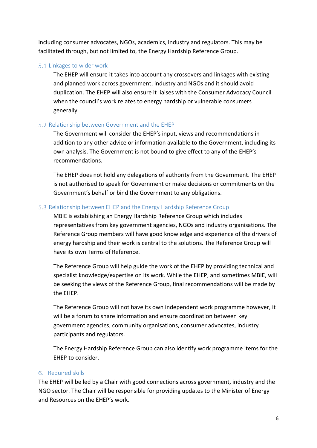including consumer advocates, NGOs, academics, industry and regulators. This may be facilitated through, but not limited to, the Energy Hardship Reference Group.

#### <span id="page-5-0"></span>5.1 Linkages to wider work

The EHEP will ensure it takes into account any crossovers and linkages with existing and planned work across government, industry and NGOs and it should avoid duplication. The EHEP will also ensure it liaises with the Consumer Advocacy Council when the council's work relates to energy hardship or vulnerable consumers generally.

#### <span id="page-5-1"></span>5.2 Relationship between Government and the EHEP

The Government will consider the EHEP's input, views and recommendations in addition to any other advice or information available to the Government, including its own analysis. The Government is not bound to give effect to any of the EHEP's recommendations.

The EHEP does not hold any delegations of authority from the Government. The EHEP is not authorised to speak for Government or make decisions or commitments on the Government's behalf or bind the Government to any obligations.

#### <span id="page-5-2"></span>5.3 Relationship between EHEP and the Energy Hardship Reference Group

MBIE is establishing an Energy Hardship Reference Group which includes representatives from key government agencies, NGOs and industry organisations. The Reference Group members will have good knowledge and experience of the drivers of energy hardship and their work is central to the solutions. The Reference Group will have its own Terms of Reference.

The Reference Group will help guide the work of the EHEP by providing technical and specialist knowledge/expertise on its work. While the EHEP, and sometimes MBIE, will be seeking the views of the Reference Group, final recommendations will be made by the EHEP.

The Reference Group will not have its own independent work programme however, it will be a forum to share information and ensure coordination between key government agencies, community organisations, consumer advocates, industry participants and regulators.

The Energy Hardship Reference Group can also identify work programme items for the EHEP to consider.

#### <span id="page-5-3"></span>6. Required skills

The EHEP will be led by a Chair with good connections across government, industry and the NGO sector. The Chair will be responsible for providing updates to the Minister of Energy and Resources on the EHEP's work.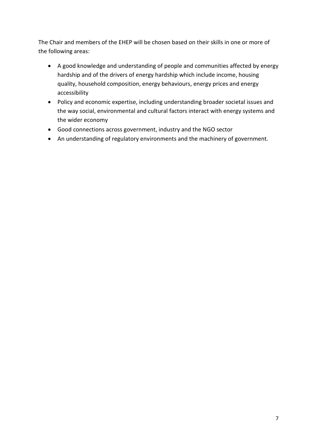The Chair and members of the EHEP will be chosen based on their skills in one or more of the following areas:

- A good knowledge and understanding of people and communities affected by energy hardship and of the drivers of energy hardship which include income, housing quality, household composition, energy behaviours, energy prices and energy accessibility
- Policy and economic expertise, including understanding broader societal issues and the way social, environmental and cultural factors interact with energy systems and the wider economy
- Good connections across government, industry and the NGO sector
- An understanding of regulatory environments and the machinery of government.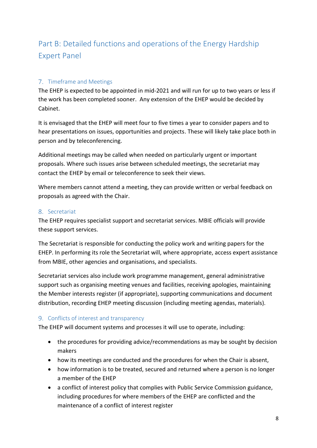# <span id="page-7-0"></span>Part B: Detailed functions and operations of the Energy Hardship Expert Panel

## <span id="page-7-1"></span>7. Timeframe and Meetings

The EHEP is expected to be appointed in mid-2021 and will run for up to two years or less if the work has been completed sooner. Any extension of the EHEP would be decided by Cabinet.

It is envisaged that the EHEP will meet four to five times a year to consider papers and to hear presentations on issues, opportunities and projects. These will likely take place both in person and by teleconferencing.

Additional meetings may be called when needed on particularly urgent or important proposals. Where such issues arise between scheduled meetings, the secretariat may contact the EHEP by email or teleconference to seek their views.

Where members cannot attend a meeting, they can provide written or verbal feedback on proposals as agreed with the Chair.

#### <span id="page-7-2"></span>8. Secretariat

The EHEP requires specialist support and secretariat services. MBIE officials will provide these support services.

The Secretariat is responsible for conducting the policy work and writing papers for the EHEP. In performing its role the Secretariat will, where appropriate, access expert assistance from MBIE, other agencies and organisations, and specialists.

Secretariat services also include work programme management, general administrative support such as organising meeting venues and facilities, receiving apologies, maintaining the Member interests register (if appropriate), supporting communications and document distribution, recording EHEP meeting discussion (including meeting agendas, materials).

### <span id="page-7-3"></span>9. Conflicts of interest and transparency

The EHEP will document systems and processes it will use to operate, including:

- the procedures for providing advice/recommendations as may be sought by decision makers
- how its meetings are conducted and the procedures for when the Chair is absent,
- how information is to be treated, secured and returned where a person is no longer a member of the EHEP
- a conflict of interest policy that complies with Public Service Commission guidance, including procedures for where members of the EHEP are conflicted and the maintenance of a conflict of interest register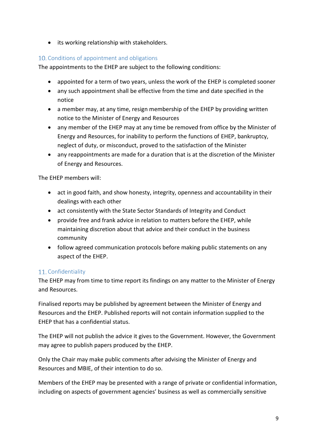• its working relationship with stakeholders.

## <span id="page-8-0"></span>10. Conditions of appointment and obligations

The appointments to the EHEP are subject to the following conditions:

- appointed for a term of two years, unless the work of the EHEP is completed sooner
- any such appointment shall be effective from the time and date specified in the notice
- a member may, at any time, resign membership of the EHEP by providing written notice to the Minister of Energy and Resources
- any member of the EHEP may at any time be removed from office by the Minister of Energy and Resources, for inability to perform the functions of EHEP, bankruptcy, neglect of duty, or misconduct, proved to the satisfaction of the Minister
- any reappointments are made for a duration that is at the discretion of the Minister of Energy and Resources.

The EHEP members will:

- act in good faith, and show honesty, integrity, openness and accountability in their dealings with each other
- act consistently with the State Sector Standards of Integrity and Conduct
- provide free and frank advice in relation to matters before the EHEP, while maintaining discretion about that advice and their conduct in the business community
- follow agreed communication protocols before making public statements on any aspect of the EHEP.

### <span id="page-8-1"></span>11. Confidentiality

The EHEP may from time to time report its findings on any matter to the Minister of Energy and Resources.

Finalised reports may be published by agreement between the Minister of Energy and Resources and the EHEP. Published reports will not contain information supplied to the EHEP that has a confidential status.

The EHEP will not publish the advice it gives to the Government. However, the Government may agree to publish papers produced by the EHEP.

Only the Chair may make public comments after advising the Minister of Energy and Resources and MBIE, of their intention to do so.

Members of the EHEP may be presented with a range of private or confidential information, including on aspects of government agencies' business as well as commercially sensitive